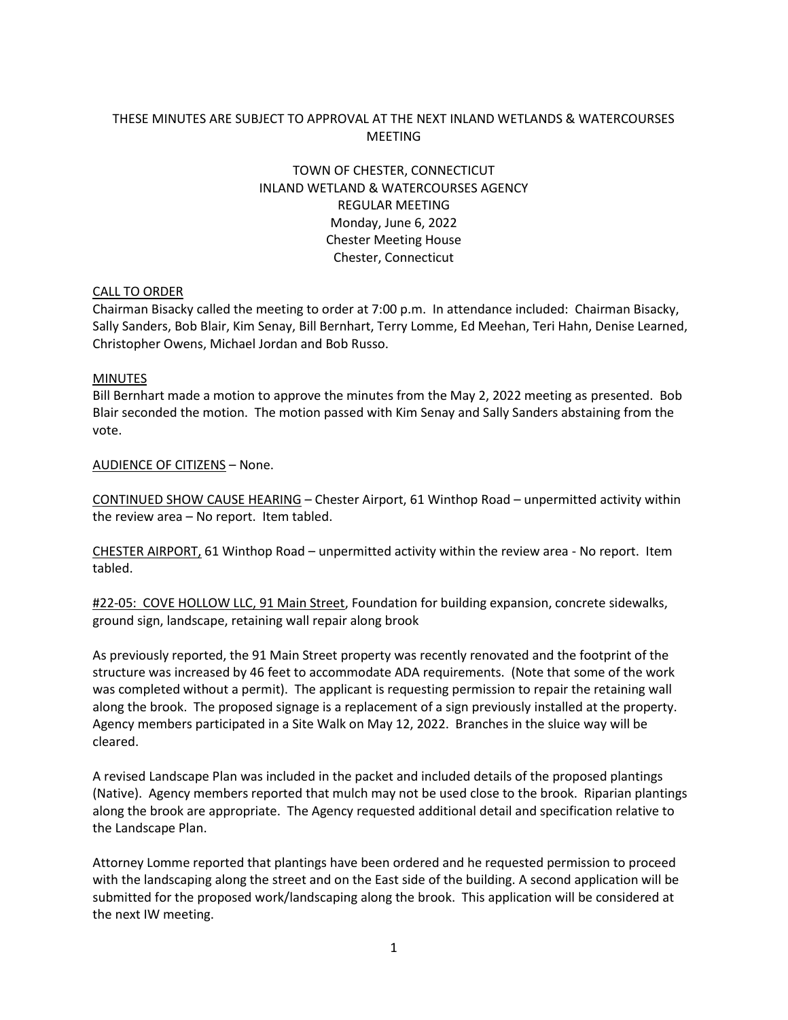## THESE MINUTES ARE SUBJECT TO APPROVAL AT THE NEXT INLAND WETLANDS & WATERCOURSES MEETING

# TOWN OF CHESTER, CONNECTICUT INLAND WETLAND & WATERCOURSES AGENCY REGULAR MEETING Monday, June 6, 2022 Chester Meeting House Chester, Connecticut

#### CALL TO ORDER

Chairman Bisacky called the meeting to order at 7:00 p.m. In attendance included: Chairman Bisacky, Sally Sanders, Bob Blair, Kim Senay, Bill Bernhart, Terry Lomme, Ed Meehan, Teri Hahn, Denise Learned, Christopher Owens, Michael Jordan and Bob Russo.

#### MINUTES

Bill Bernhart made a motion to approve the minutes from the May 2, 2022 meeting as presented. Bob Blair seconded the motion. The motion passed with Kim Senay and Sally Sanders abstaining from the vote.

#### AUDIENCE OF CITIZENS – None.

CONTINUED SHOW CAUSE HEARING – Chester Airport, 61 Winthop Road – unpermitted activity within the review area – No report. Item tabled.

CHESTER AIRPORT, 61 Winthop Road – unpermitted activity within the review area - No report. Item tabled.

#22-05: COVE HOLLOW LLC, 91 Main Street, Foundation for building expansion, concrete sidewalks, ground sign, landscape, retaining wall repair along brook

As previously reported, the 91 Main Street property was recently renovated and the footprint of the structure was increased by 46 feet to accommodate ADA requirements. (Note that some of the work was completed without a permit). The applicant is requesting permission to repair the retaining wall along the brook. The proposed signage is a replacement of a sign previously installed at the property. Agency members participated in a Site Walk on May 12, 2022. Branches in the sluice way will be cleared.

A revised Landscape Plan was included in the packet and included details of the proposed plantings (Native). Agency members reported that mulch may not be used close to the brook. Riparian plantings along the brook are appropriate. The Agency requested additional detail and specification relative to the Landscape Plan.

Attorney Lomme reported that plantings have been ordered and he requested permission to proceed with the landscaping along the street and on the East side of the building. A second application will be submitted for the proposed work/landscaping along the brook. This application will be considered at the next IW meeting.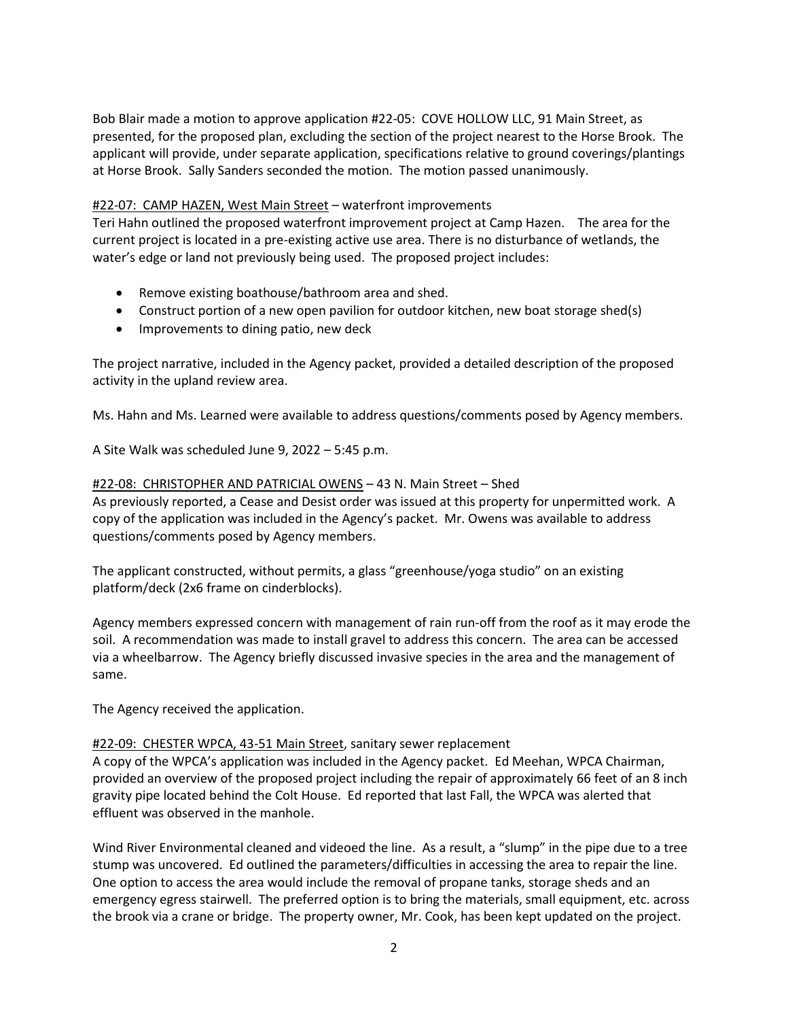Bob Blair made a motion to approve application #22-05: COVE HOLLOW LLC, 91 Main Street, as presented, for the proposed plan, excluding the section of the project nearest to the Horse Brook. The applicant will provide, under separate application, specifications relative to ground coverings/plantings at Horse Brook. Sally Sanders seconded the motion. The motion passed unanimously.

## #22-07: CAMP HAZEN, West Main Street – waterfront improvements

Teri Hahn outlined the proposed waterfront improvement project at Camp Hazen. The area for the current project is located in a pre-existing active use area. There is no disturbance of wetlands, the water's edge or land not previously being used. The proposed project includes:

- Remove existing boathouse/bathroom area and shed.
- Construct portion of a new open pavilion for outdoor kitchen, new boat storage shed(s)
- Improvements to dining patio, new deck

The project narrative, included in the Agency packet, provided a detailed description of the proposed activity in the upland review area.

Ms. Hahn and Ms. Learned were available to address questions/comments posed by Agency members.

A Site Walk was scheduled June 9, 2022 – 5:45 p.m.

### #22-08: CHRISTOPHER AND PATRICIAL OWENS – 43 N. Main Street – Shed

As previously reported, a Cease and Desist order was issued at this property for unpermitted work. A copy of the application was included in the Agency's packet. Mr. Owens was available to address questions/comments posed by Agency members.

The applicant constructed, without permits, a glass "greenhouse/yoga studio" on an existing platform/deck (2x6 frame on cinderblocks).

Agency members expressed concern with management of rain run-off from the roof as it may erode the soil. A recommendation was made to install gravel to address this concern. The area can be accessed via a wheelbarrow. The Agency briefly discussed invasive species in the area and the management of same.

The Agency received the application.

### #22-09: CHESTER WPCA, 43-51 Main Street, sanitary sewer replacement

A copy of the WPCA's application was included in the Agency packet. Ed Meehan, WPCA Chairman, provided an overview of the proposed project including the repair of approximately 66 feet of an 8 inch gravity pipe located behind the Colt House. Ed reported that last Fall, the WPCA was alerted that effluent was observed in the manhole.

Wind River Environmental cleaned and videoed the line. As a result, a "slump" in the pipe due to a tree stump was uncovered. Ed outlined the parameters/difficulties in accessing the area to repair the line. One option to access the area would include the removal of propane tanks, storage sheds and an emergency egress stairwell. The preferred option is to bring the materials, small equipment, etc. across the brook via a crane or bridge. The property owner, Mr. Cook, has been kept updated on the project.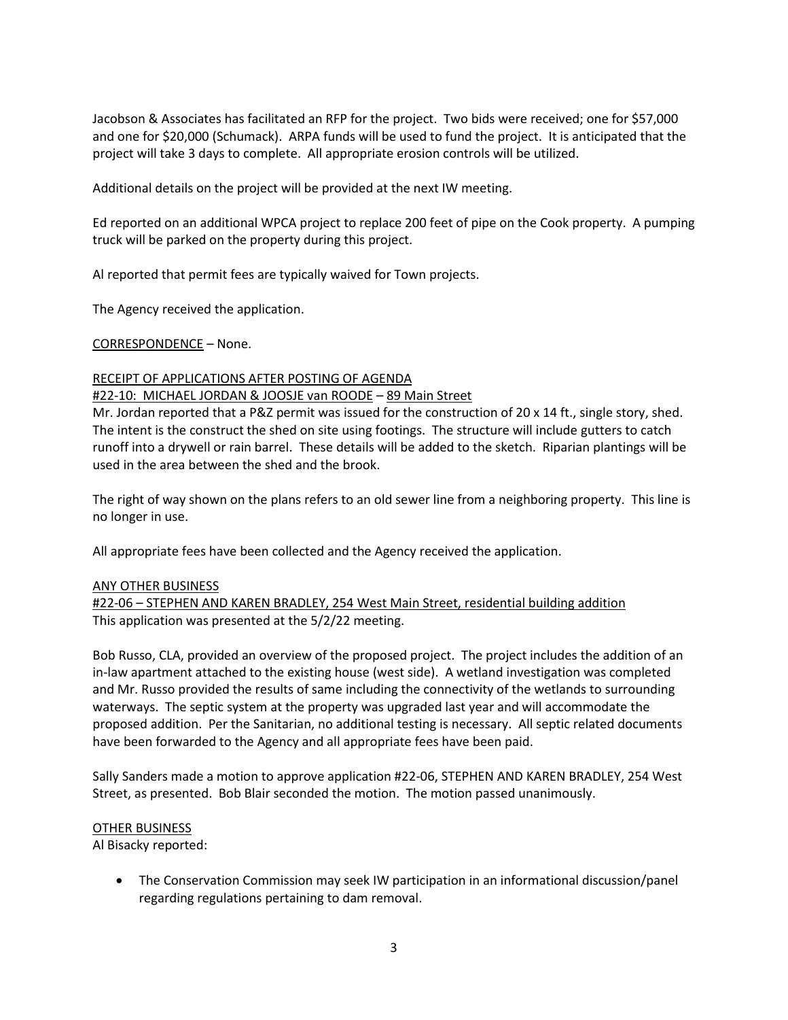Jacobson & Associates has facilitated an RFP for the project. Two bids were received; one for \$57,000 and one for \$20,000 (Schumack). ARPA funds will be used to fund the project. It is anticipated that the project will take 3 days to complete. All appropriate erosion controls will be utilized.

Additional details on the project will be provided at the next IW meeting.

Ed reported on an additional WPCA project to replace 200 feet of pipe on the Cook property. A pumping truck will be parked on the property during this project.

Al reported that permit fees are typically waived for Town projects.

The Agency received the application.

CORRESPONDENCE – None.

### RECEIPT OF APPLICATIONS AFTER POSTING OF AGENDA

### #22-10: MICHAEL JORDAN & JOOSJE van ROODE – 89 Main Street

Mr. Jordan reported that a P&Z permit was issued for the construction of 20 x 14 ft., single story, shed. The intent is the construct the shed on site using footings. The structure will include gutters to catch runoff into a drywell or rain barrel. These details will be added to the sketch. Riparian plantings will be used in the area between the shed and the brook.

The right of way shown on the plans refers to an old sewer line from a neighboring property. This line is no longer in use.

All appropriate fees have been collected and the Agency received the application.

### ANY OTHER BUSINESS

#22-06 – STEPHEN AND KAREN BRADLEY, 254 West Main Street, residential building addition This application was presented at the 5/2/22 meeting.

Bob Russo, CLA, provided an overview of the proposed project. The project includes the addition of an in-law apartment attached to the existing house (west side). A wetland investigation was completed and Mr. Russo provided the results of same including the connectivity of the wetlands to surrounding waterways. The septic system at the property was upgraded last year and will accommodate the proposed addition. Per the Sanitarian, no additional testing is necessary. All septic related documents have been forwarded to the Agency and all appropriate fees have been paid.

Sally Sanders made a motion to approve application #22-06, STEPHEN AND KAREN BRADLEY, 254 West Street, as presented. Bob Blair seconded the motion. The motion passed unanimously.

### OTHER BUSINESS

Al Bisacky reported:

• The Conservation Commission may seek IW participation in an informational discussion/panel regarding regulations pertaining to dam removal.